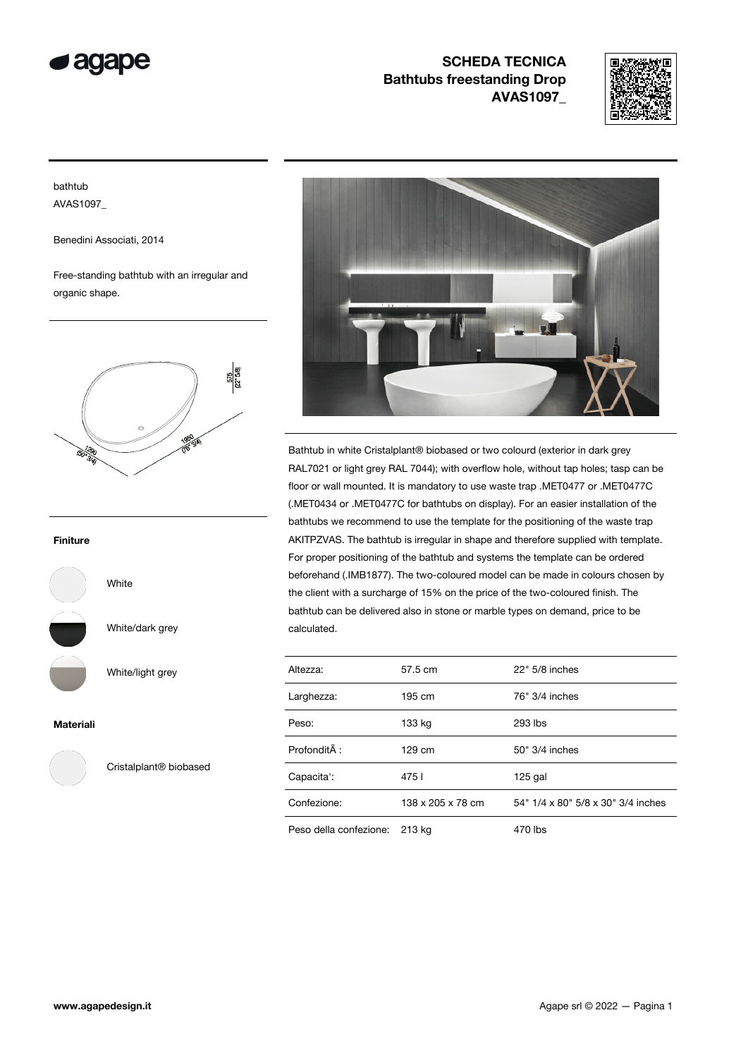



## bathtub AVAS1097\_

Benedini Associati, 2014

Free-standing bathtub with an irregular and organic shape.



### Finiture

White

White/dark grey

White/light grey



Materiali



Cristalplant® biobased



Bathtub in white Cristalplant® biobased or two colourd (exterior in dark grey RAL7021 or light grey RAL 7044); with overflow hole, without tap holes; tasp can be floor or wall mounted. It is mandatory to use waste trap .MET0477 or .MET0477C (.MET0434 or .MET0477C for bathtubs on display). For an easier installation of the bathtubs we recommend to use the template for the positioning of the waste trap AKITPZVAS. The bathtub is irregular in shape and therefore supplied with template. For proper positioning of the bathtub and systems the template can be ordered beforehand (.IMB1877). The two-coloured model can be made in colours chosen by the client with a surcharge of 15% on the price of the two-coloured finish. The bathtub can be delivered also in stone or marble types on demand, price to be calculated.

| Altezza:               | 57.5 cm           | 22" 5/8 inches                     |
|------------------------|-------------------|------------------------------------|
| Larghezza:             | 195 cm            | 76" 3/4 inches                     |
| Peso:                  | 133 kg            | 293 lbs                            |
| Profondità :           | 129 cm            | 50" 3/4 inches                     |
| Capacita':             | 4751              | $125$ gal                          |
| Confezione:            | 138 x 205 x 78 cm | 54" 1/4 x 80" 5/8 x 30" 3/4 inches |
| Peso della confezione: | 213 kg            | 470 lbs                            |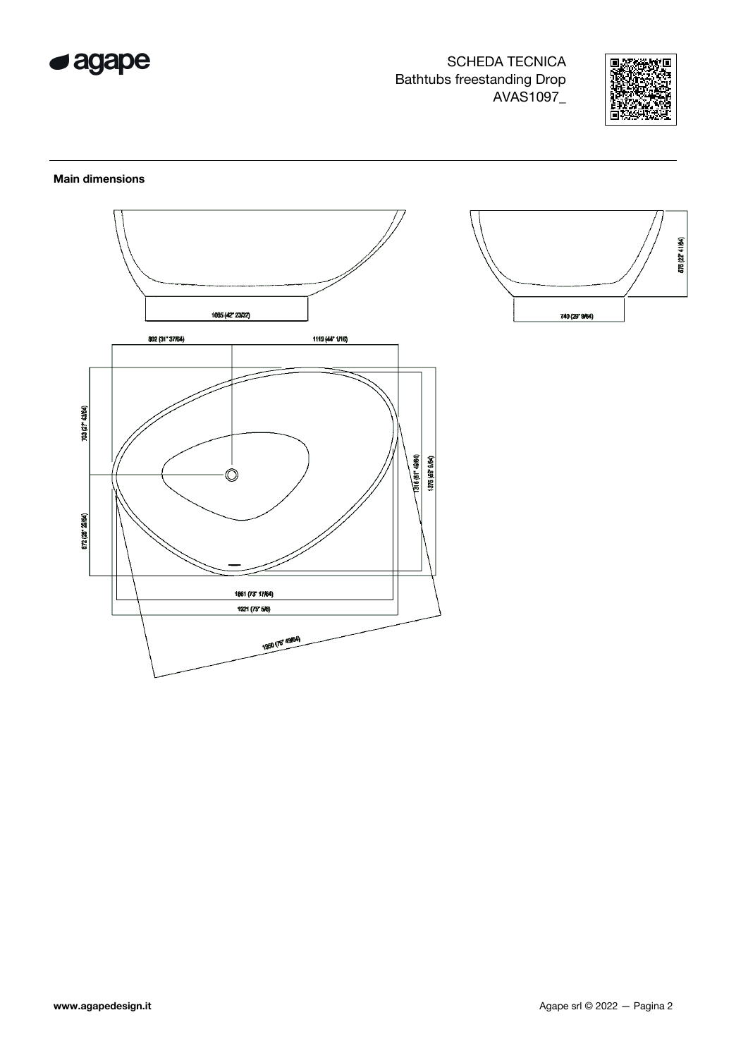



### **Main dimensions**

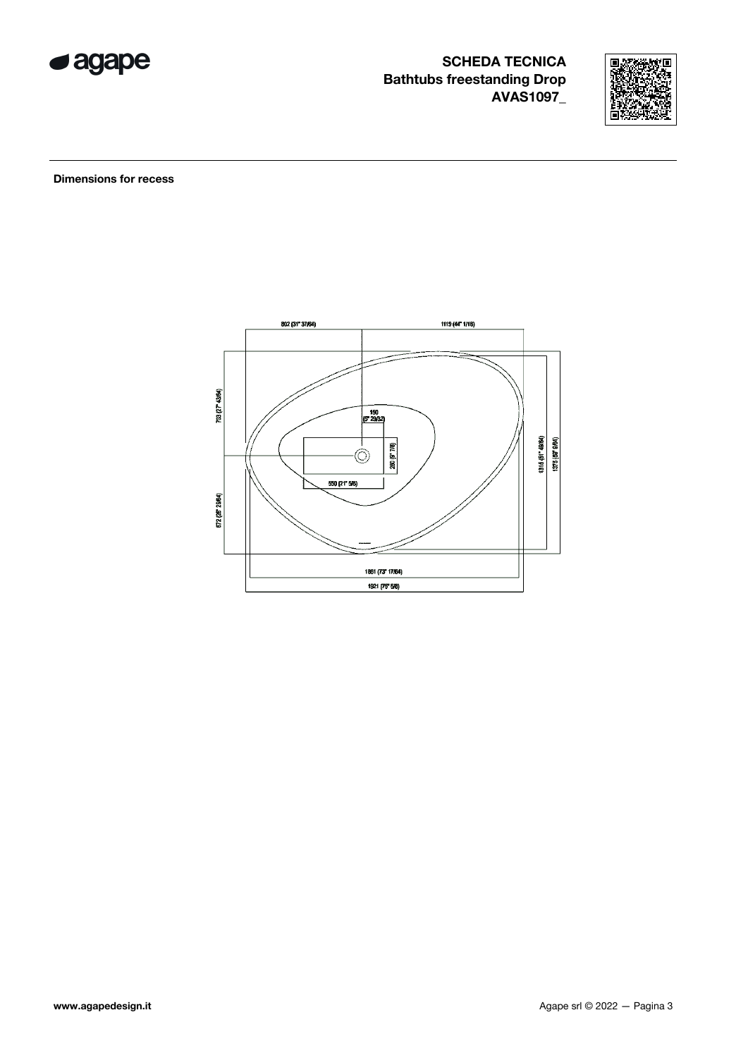



**Dimensions for recess** 

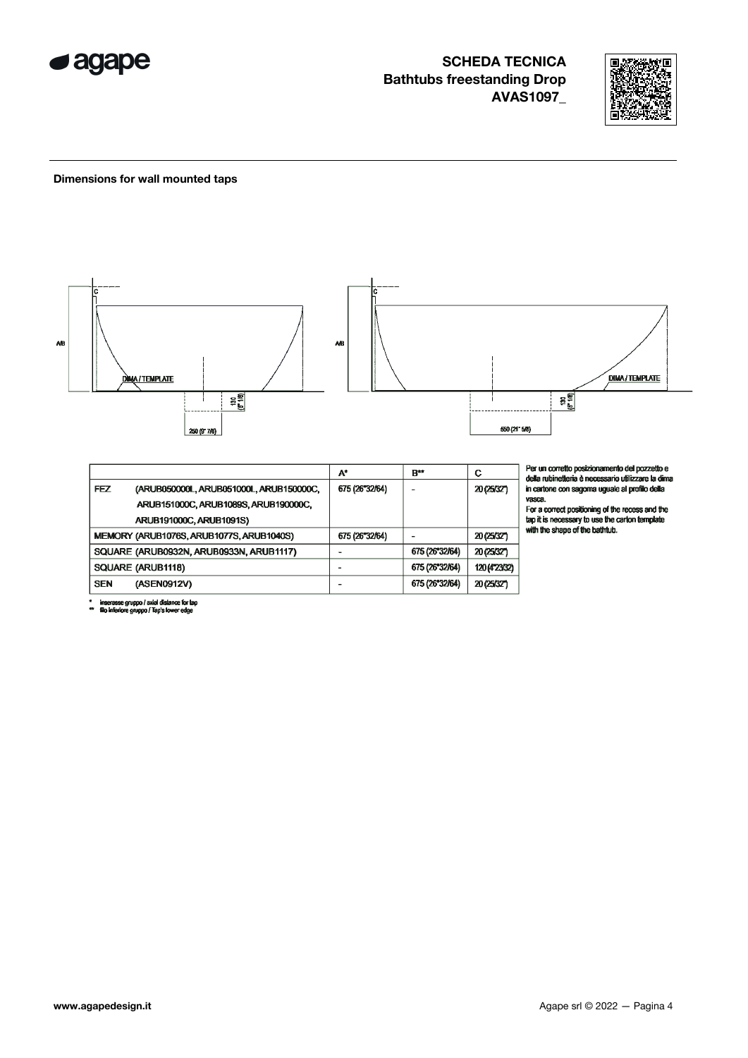



#### Dimensions for wall mounted taps



|            |                                          | A۰             | B**            | С             |
|------------|------------------------------------------|----------------|----------------|---------------|
| FEZ        | (ARUB050000L, ARUB051000L, ARUB150000C,  | 675 (26"32/64) |                | 20 (25/32")   |
|            | ARUB151000C, ARUB1089S, ARUB190000C,     |                |                |               |
|            | ARUB191000C, ARUB1091S)                  |                |                |               |
|            | MEMORY (ARUB1076S, ARUB1077S, ARUB1040S) | 675 (26"32/64) |                | 20 (25/32")   |
|            | SQUARE (ARUB0932N, ARUB0933N, ARUB1117)  |                | 675 (26"32/64) | 20 (25/32)    |
|            | SQUARE (ARUB1118)                        |                | 675 (26"32/64) | 120 (4723/32) |
| <b>SEN</b> | (ASEN0912V)                              |                | 675 (26"32/64) | 20 (25/32")   |
|            |                                          |                |                |               |

 $\overline{a}$ <sup>,</sup> un corretto posizionamento del pozzetto e<br>la rubinetteria è necessario utilizzare la dima<br>artone con sagoma uguale al profilo della ca.

se.<br>a correct positioning of the recess and the<br>it is necessary to use the carton template<br>i the shape of the bathtub.

inserasse gruppo / axial distance for tap<br>filo inferiore gruppo / Tap's lower edge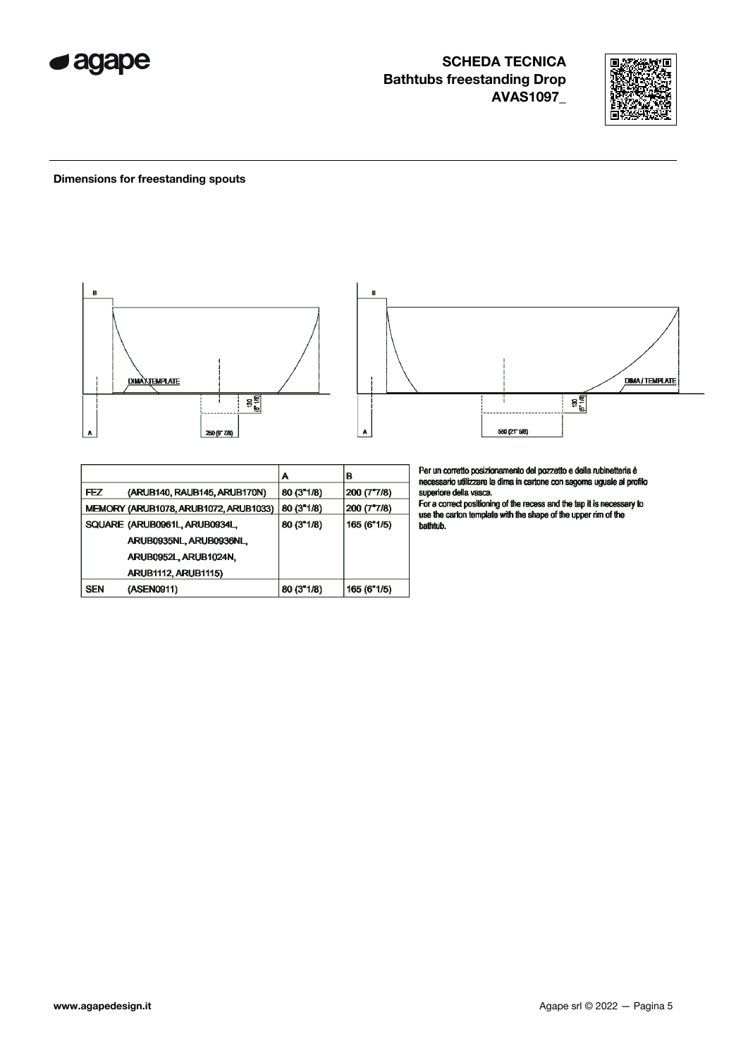



### Dimensions for freestanding spouts



|            |                                       | Α                  | в           |
|------------|---------------------------------------|--------------------|-------------|
| FEZ        | (ARUB140, RAUB145, ARUB170N)          | $80(3^{\circ}1/8)$ | 200 (7"7/8) |
|            | MEMORY (ARUB1078, ARUB1072, ARUB1033) | $80(3^{\circ}1/8)$ | 200 (7"7/8) |
|            | SQUARE (ARUB0961L, ARUB0934L,         | 80 (3"1/8)         | 165(6"1/5)  |
|            | ARUB0935NL, ARUB0936NL,               |                    |             |
|            | ARUB0952L ARUB1024N,                  |                    |             |
|            | <b>ARUB1112, ARUB1115)</b>            |                    |             |
| <b>SEN</b> | (ASEN0911)                            | 80 (3"1/8)         | 165 (6"1/5) |

Per un corretto posizionamento del pozzetto e della rubinetteria è<br>necessario utilizzare la dima in cartone con sagoma uguale al profilo

superiore della vasca.<br>For a correct positioning of the recess and the tap it is necessary to<br>use the carton template with the shape of the upper rim of the bathtub.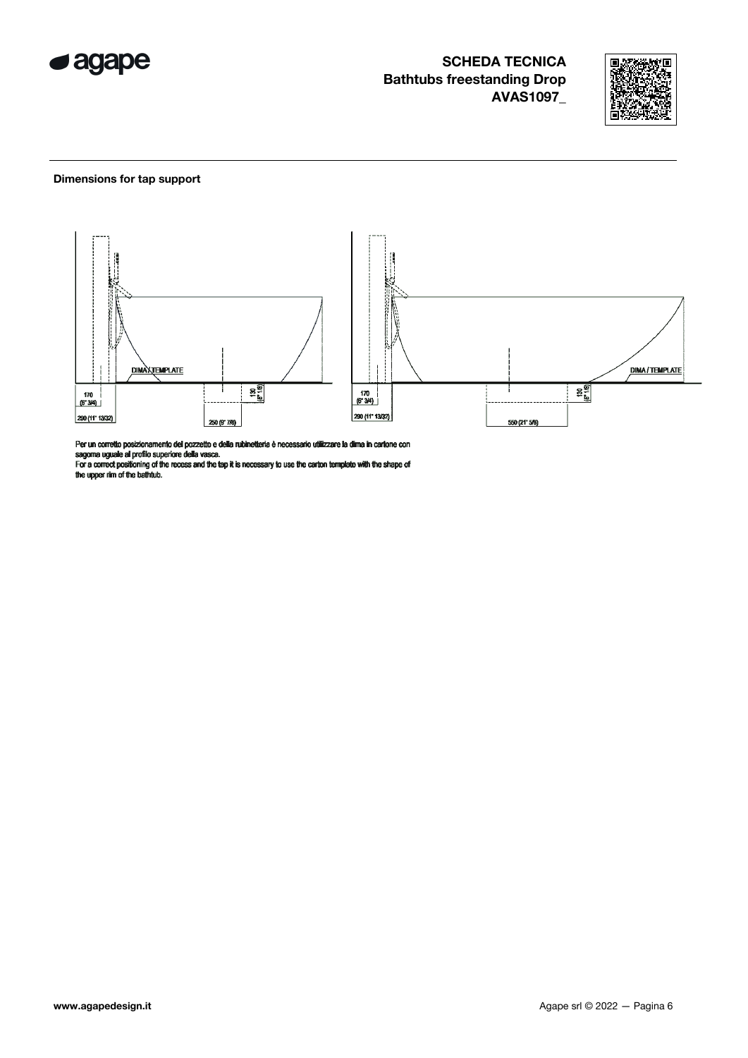



### Dimensions for tap support



Per un corretto posizionamento del pozzetto e della rubinetteria è necessario utilizzare la dima in carlone con<br>sagoma uguale al profilo superiore della vasca.<br>For a correct positioning of the recess and the tap it is nece